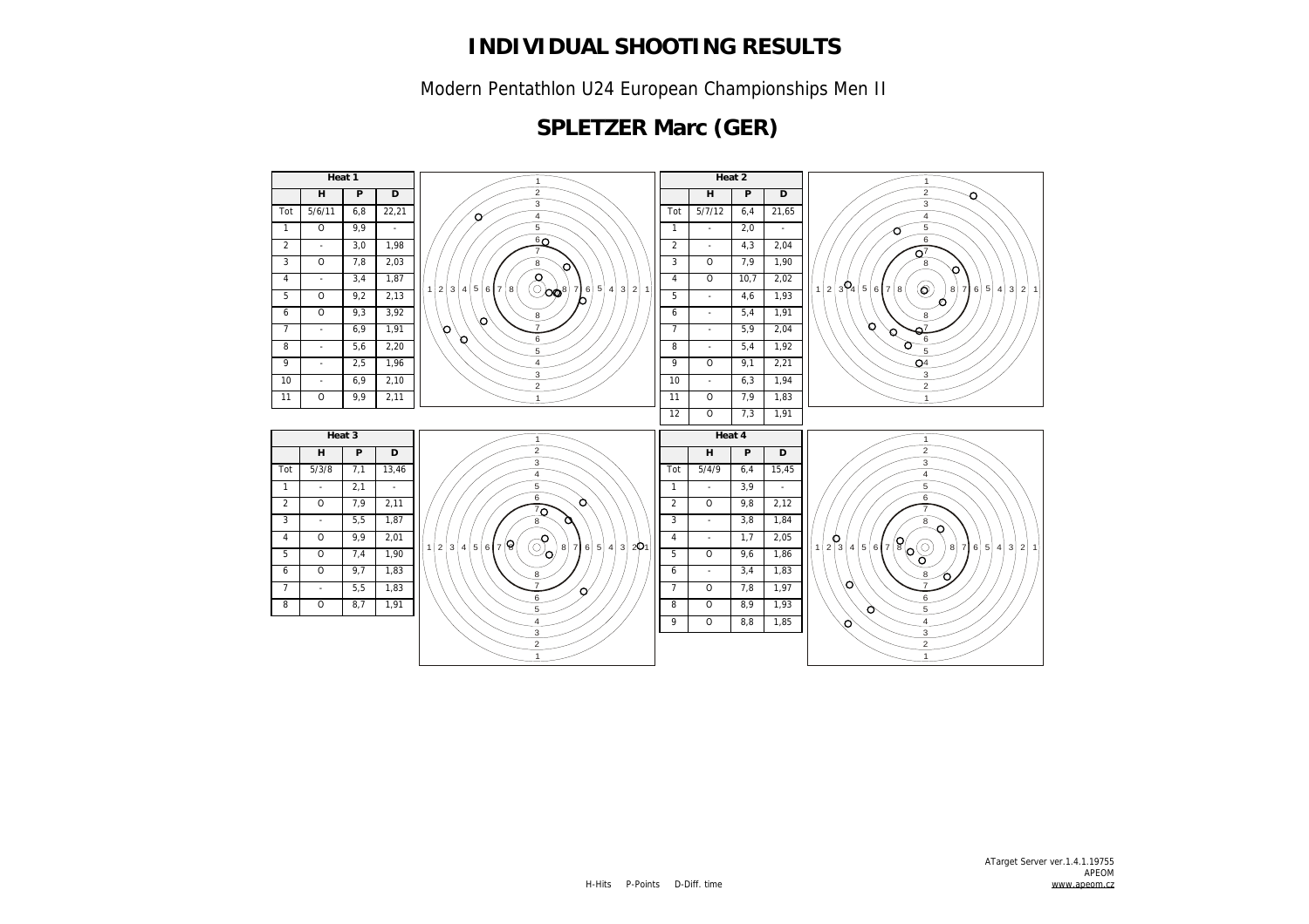Modern Pentathlon U24 European Championships Men II

## **SPLETZER Marc (GER)**

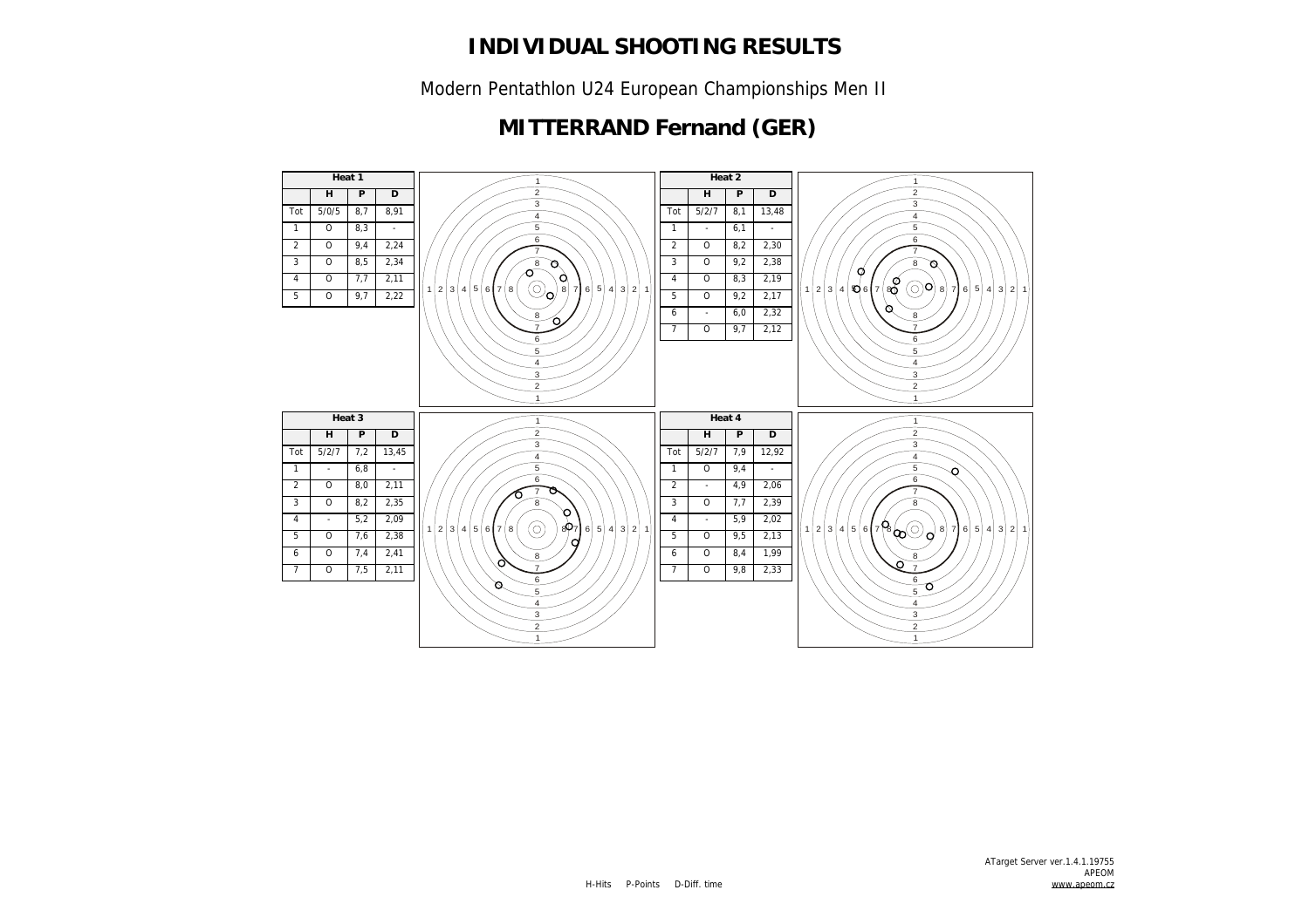Modern Pentathlon U24 European Championships Men II

### **MITTERRAND Fernand (GER)**

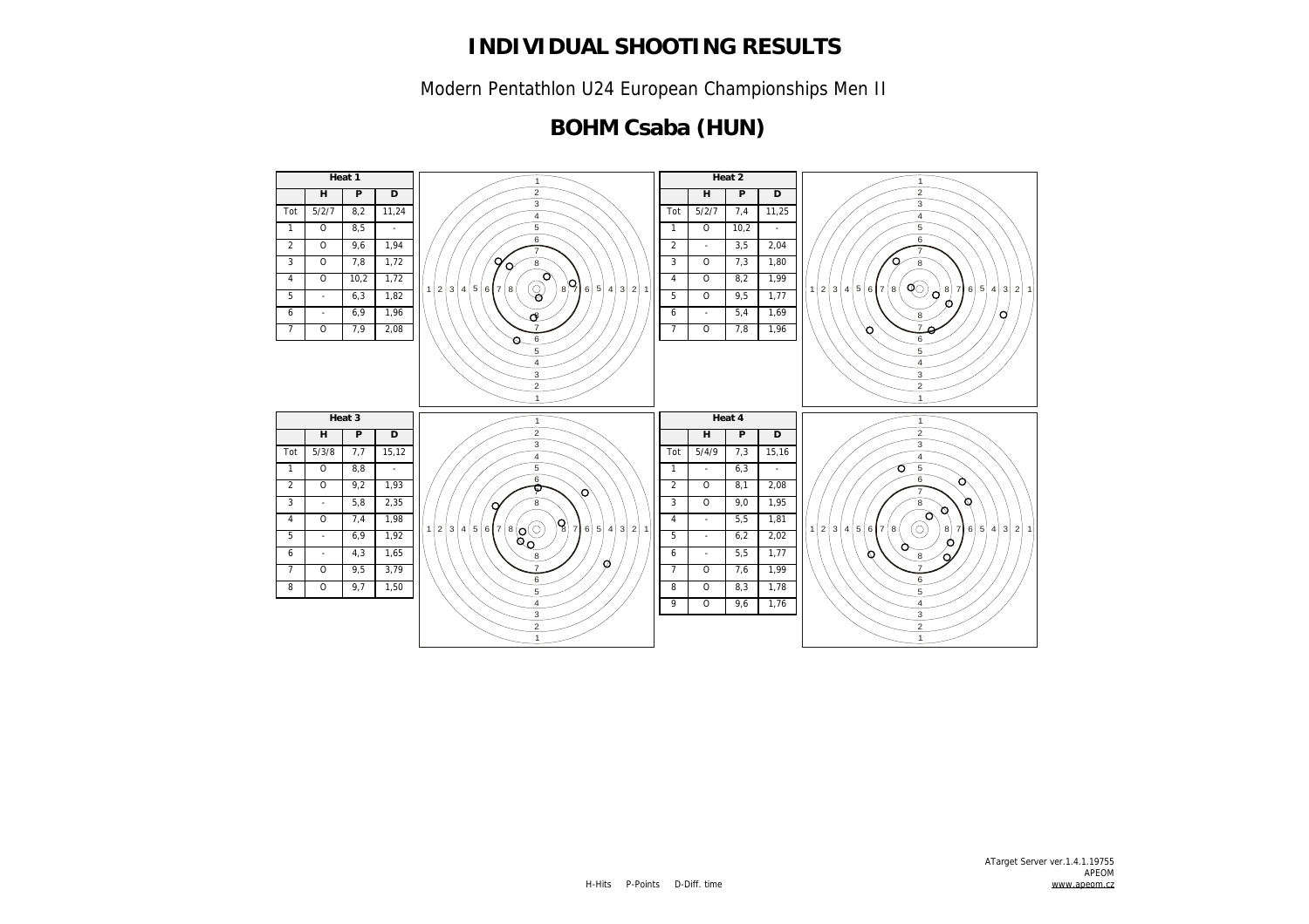Modern Pentathlon U24 European Championships Men II

## **BOHM Csaba (HUN)**

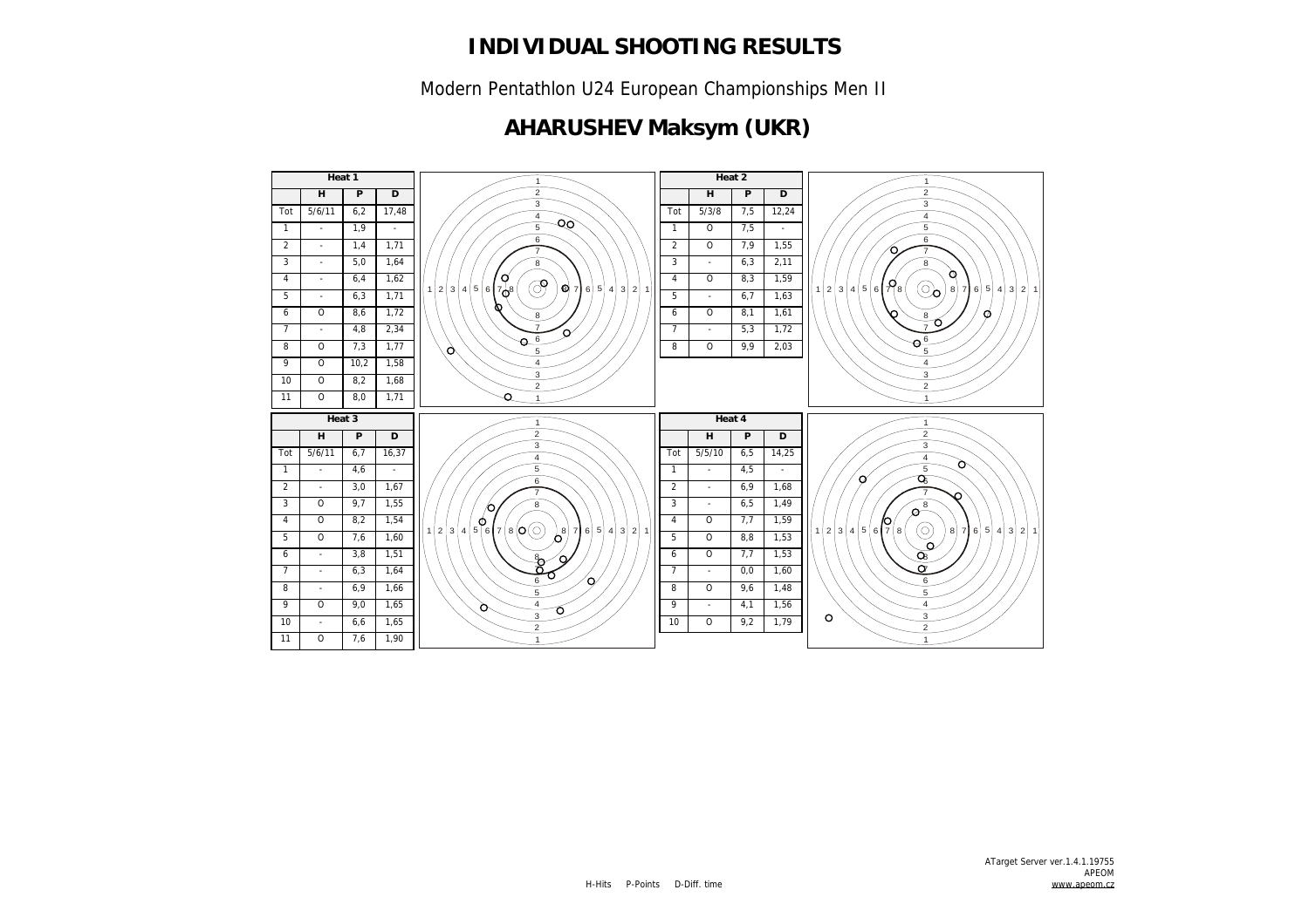Modern Pentathlon U24 European Championships Men II

## **AHARUSHEV Maksym (UKR)**

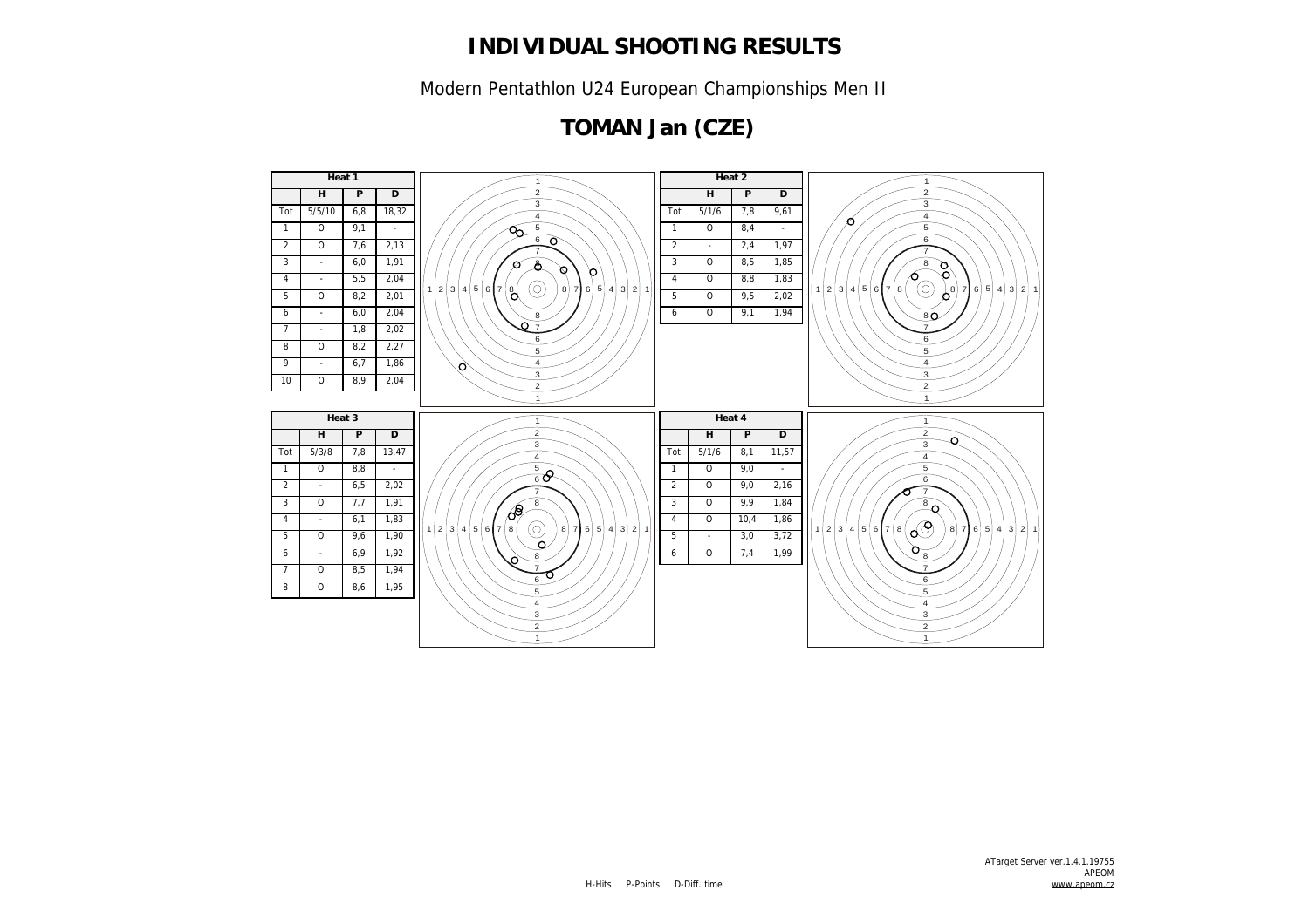Modern Pentathlon U24 European Championships Men II

## **TOMAN Jan (CZE)**

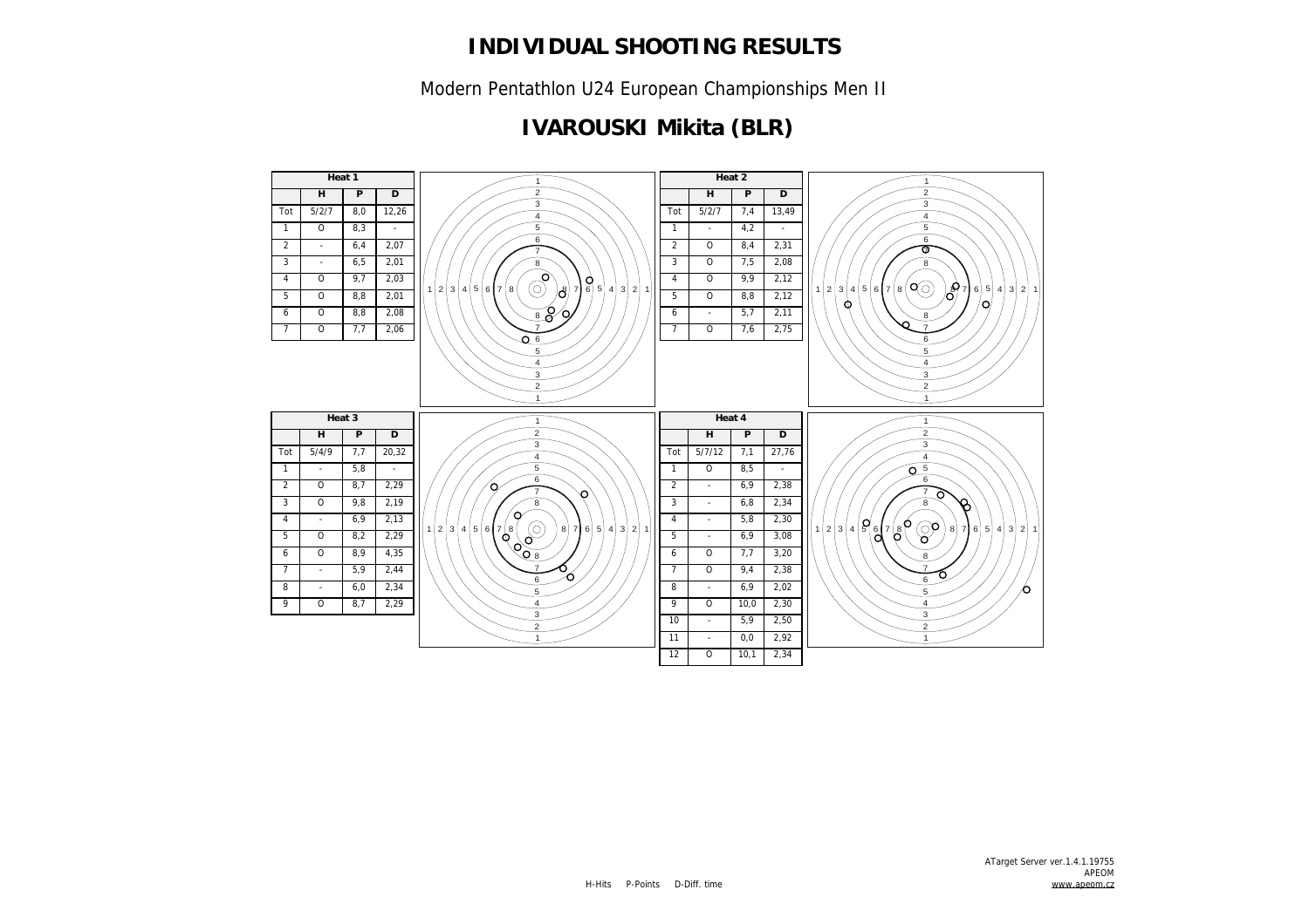Modern Pentathlon U24 European Championships Men II

## **IVAROUSKI Mikita (BLR)**

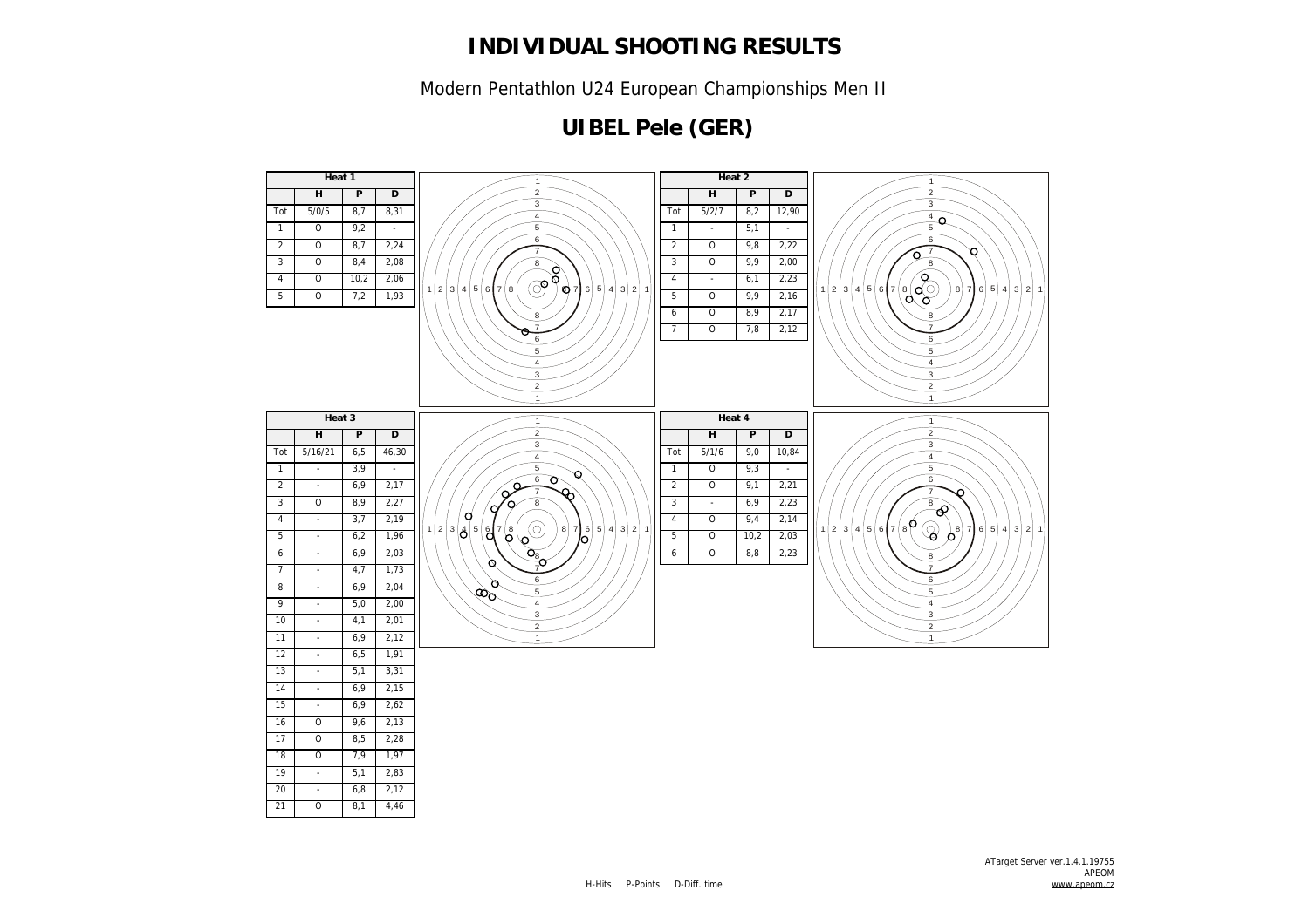Modern Pentathlon U24 European Championships Men II

## **UIBEL Pele (GER)**

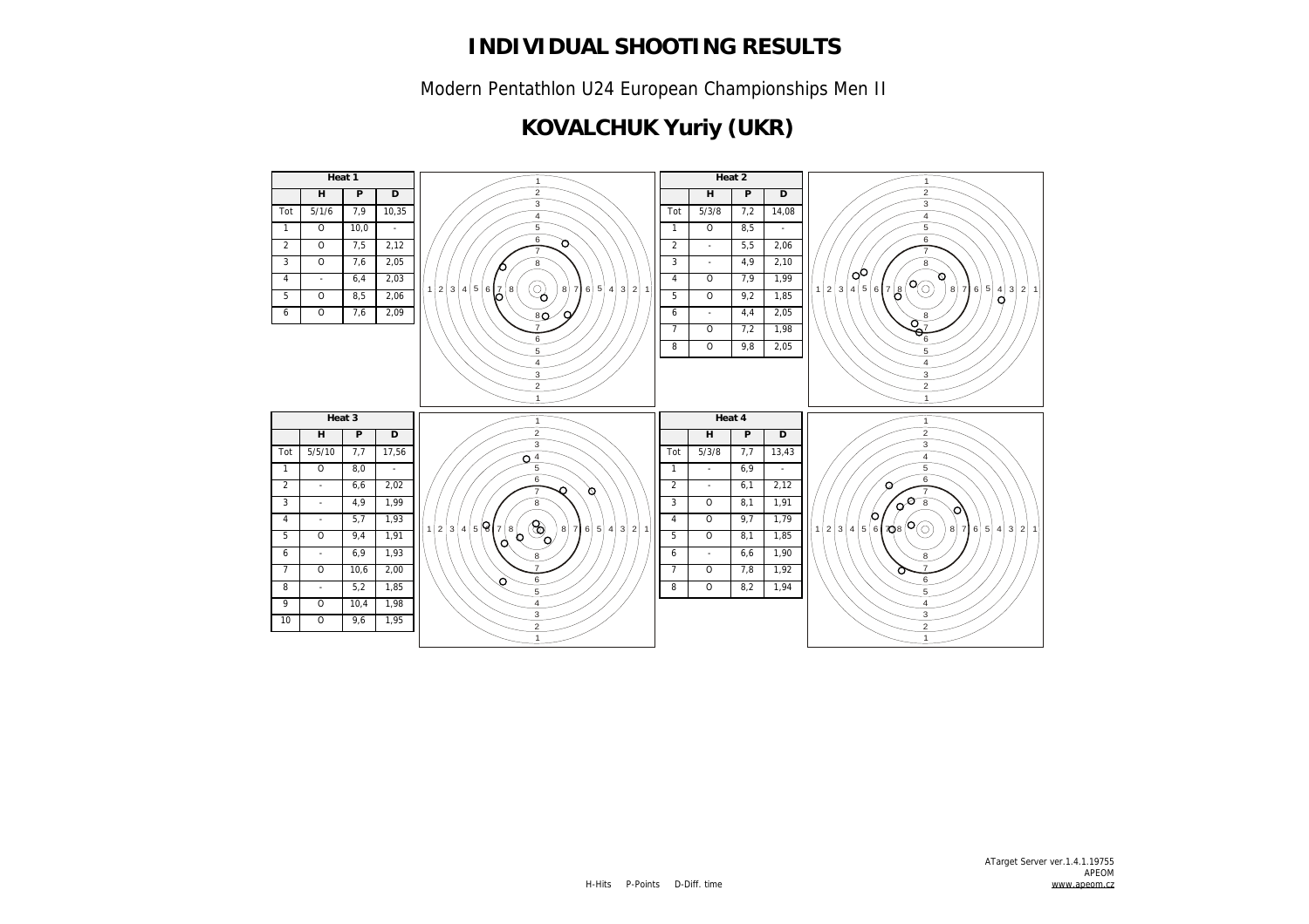Modern Pentathlon U24 European Championships Men II

## **KOVALCHUK Yuriy (UKR)**

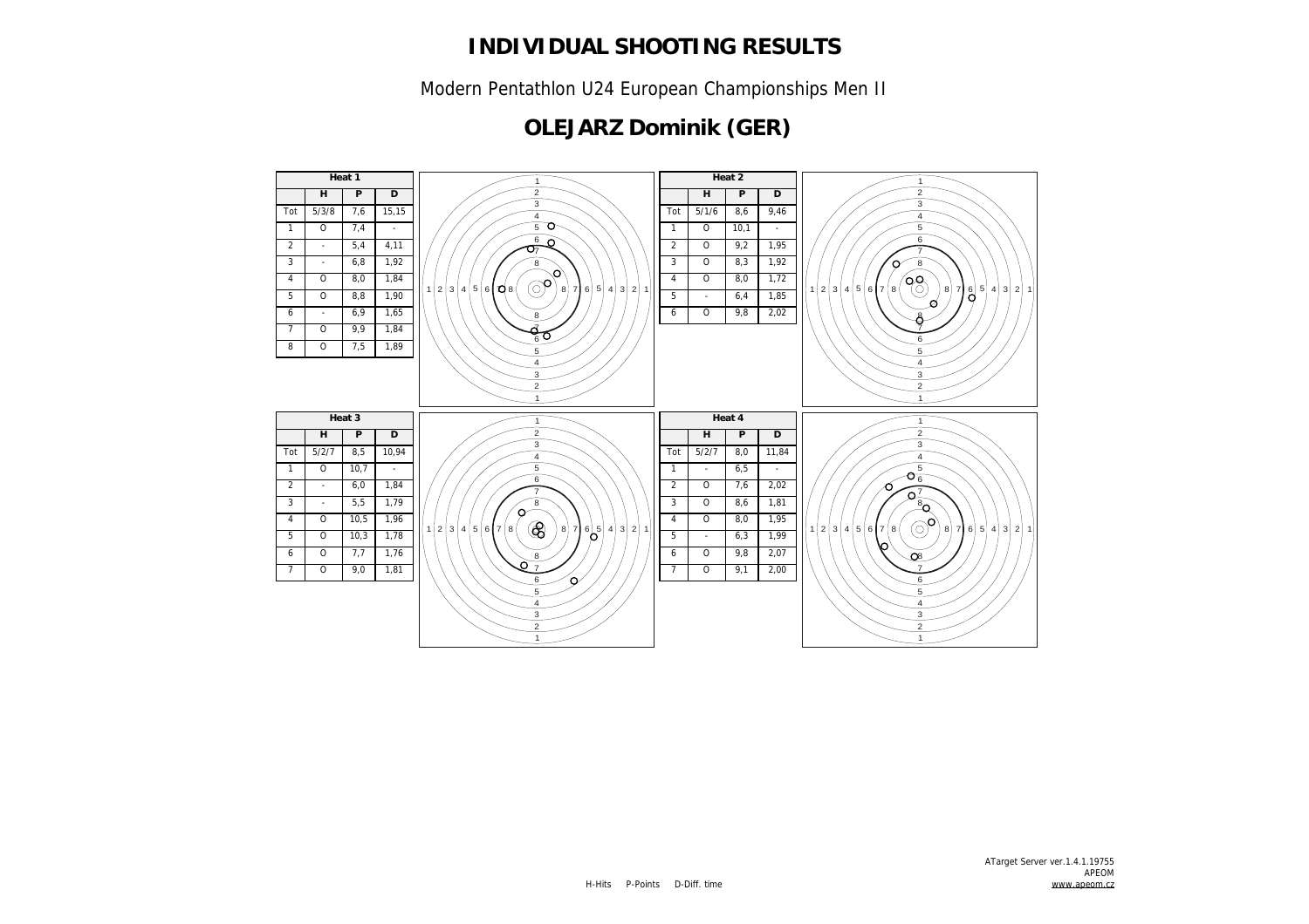Modern Pentathlon U24 European Championships Men II

## **OLEJARZ Dominik (GER)**

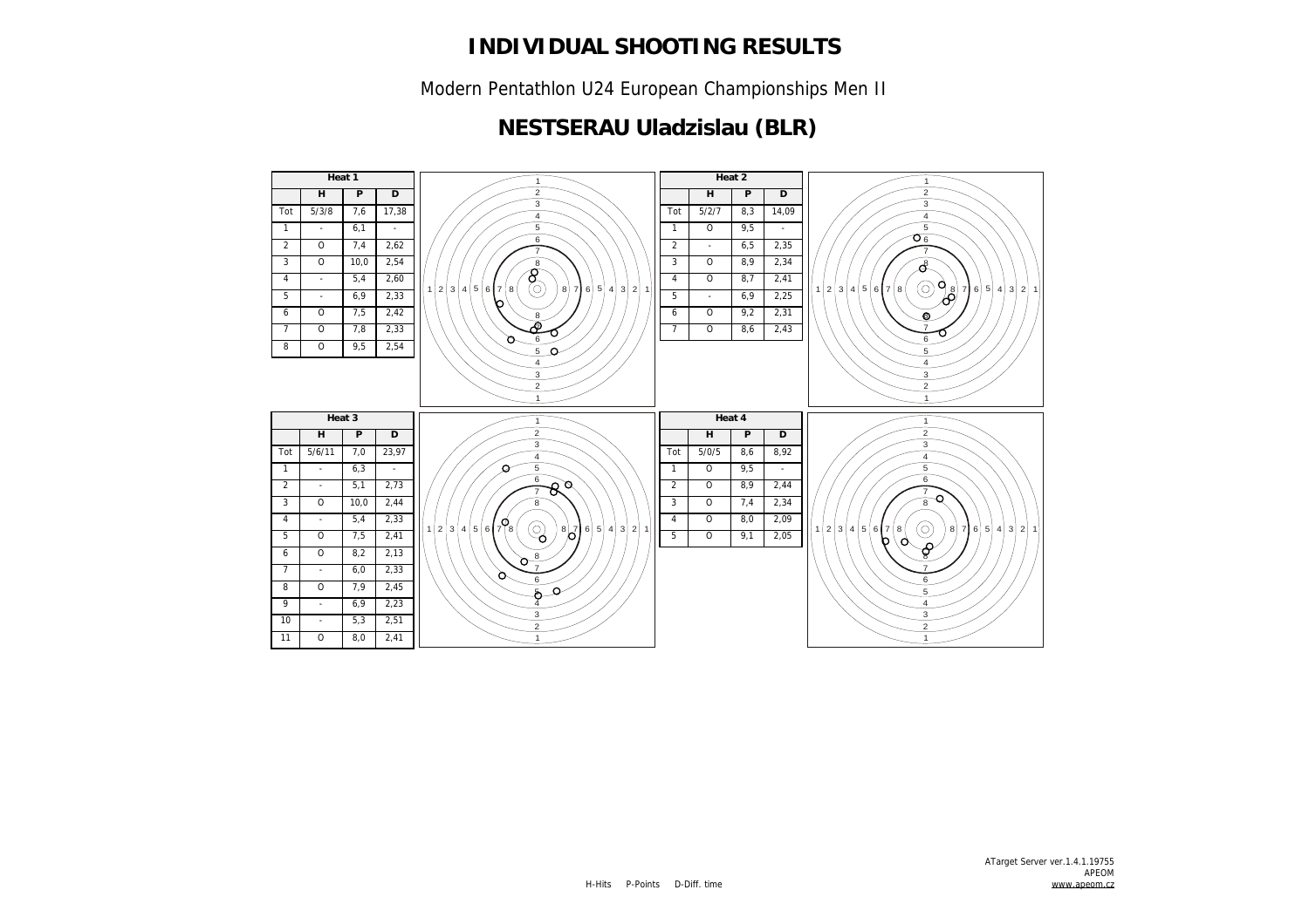Modern Pentathlon U24 European Championships Men II

#### **NESTSERAU Uladzislau (BLR)**

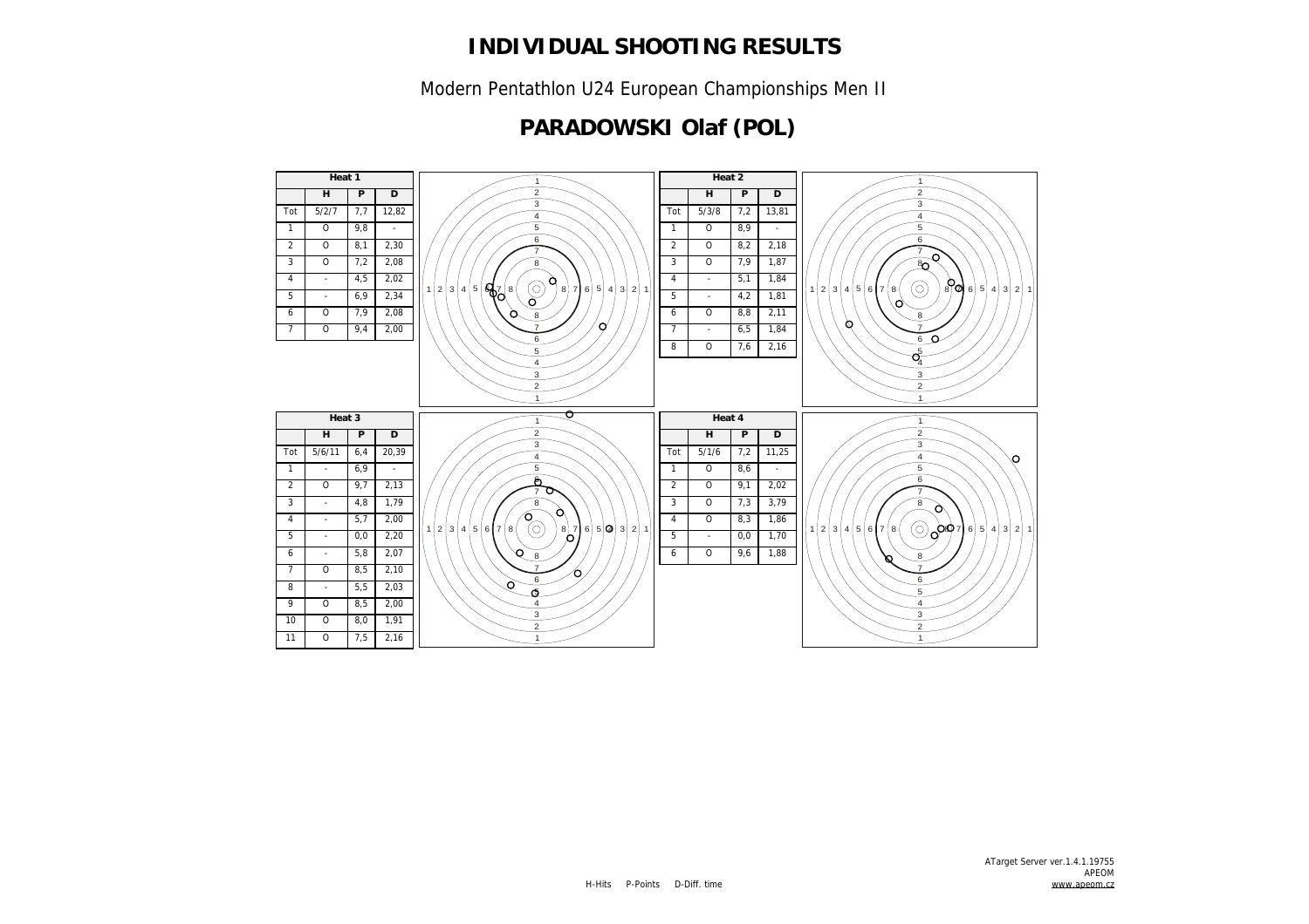Modern Pentathlon U24 European Championships Men II

### **PARADOWSKI Olaf (POL)**

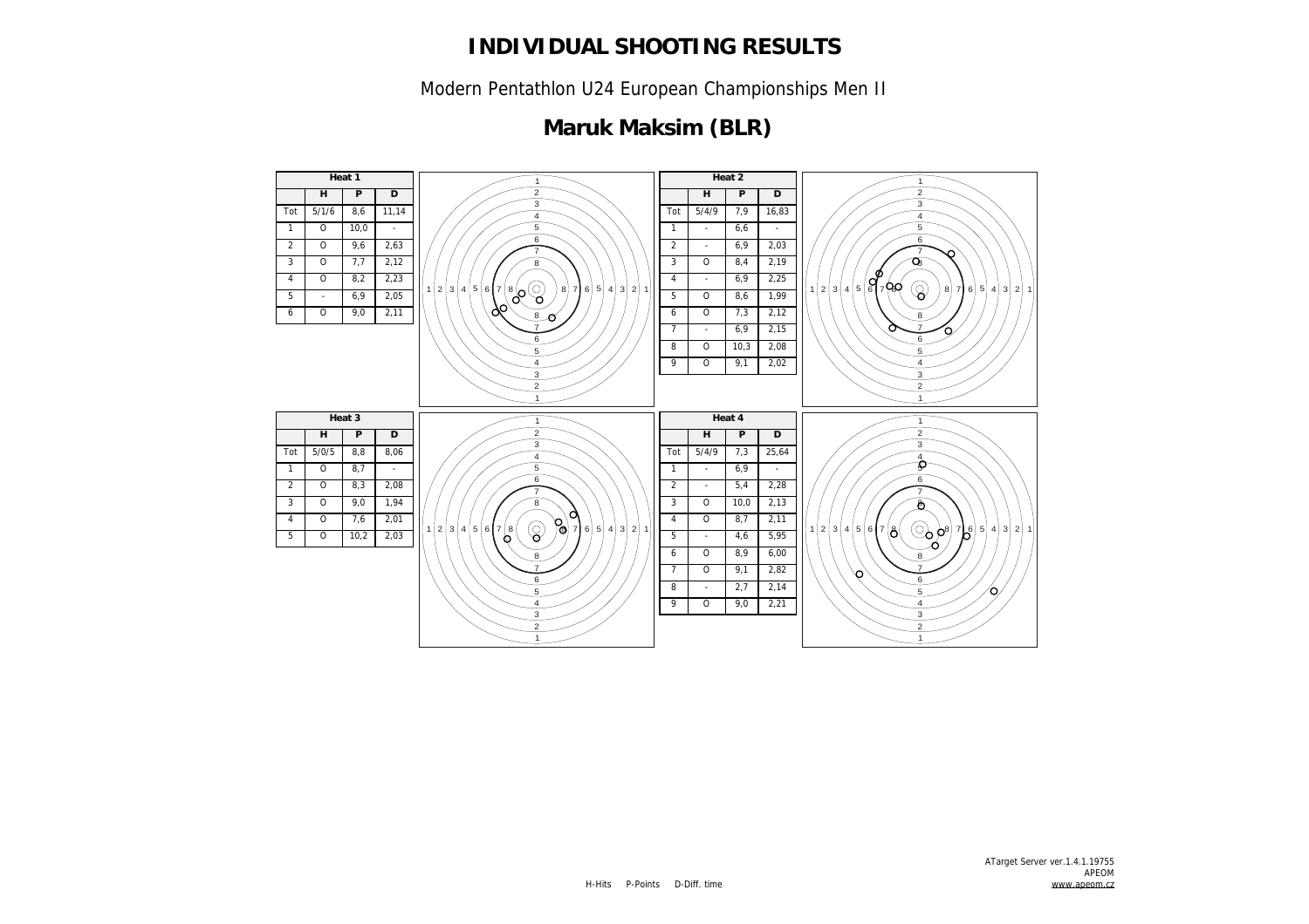Modern Pentathlon U24 European Championships Men II

## **Maruk Maksim (BLR)**

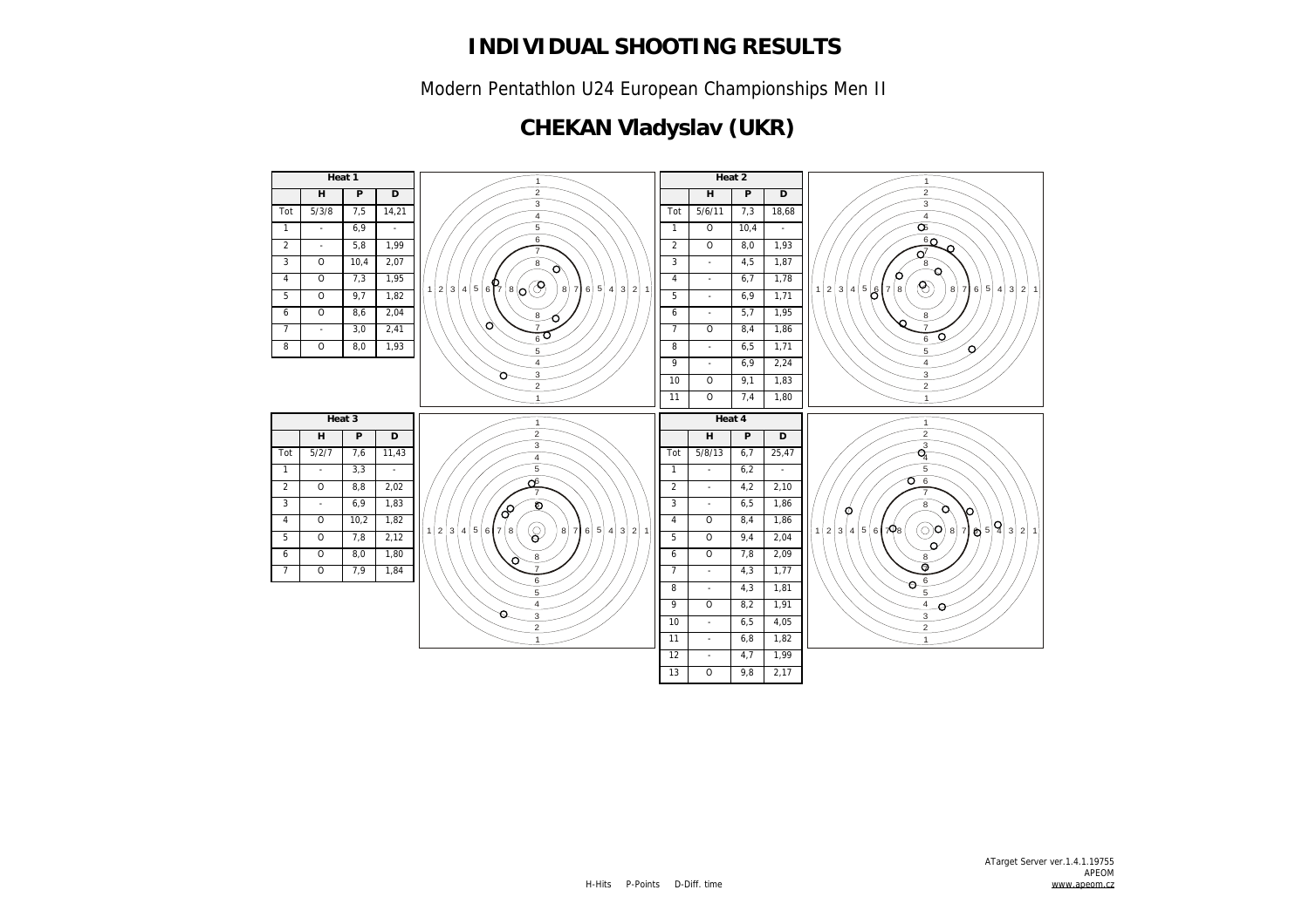Modern Pentathlon U24 European Championships Men II

## **CHEKAN Vladyslav (UKR)**

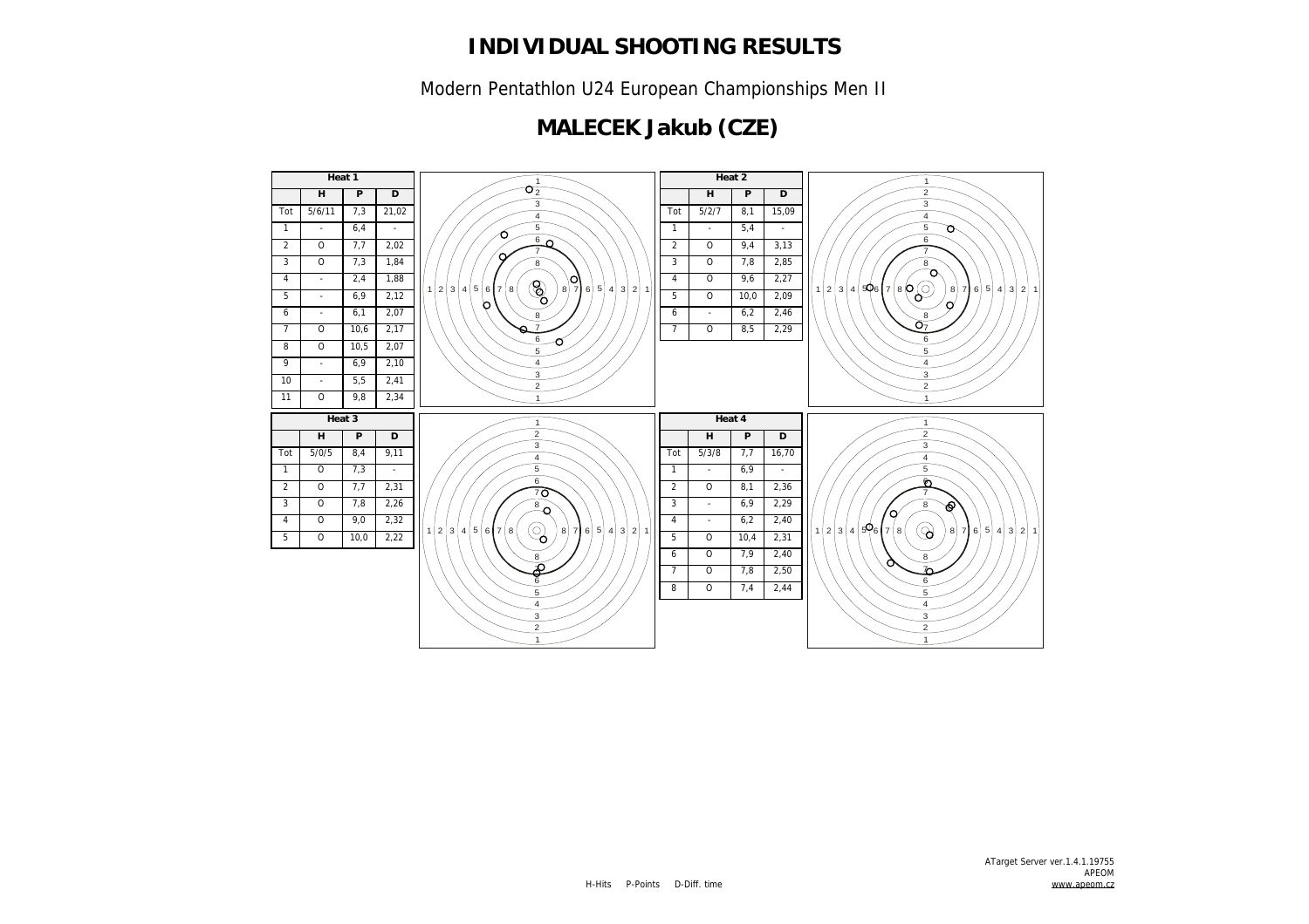Modern Pentathlon U24 European Championships Men II

## **MALECEK Jakub (CZE)**

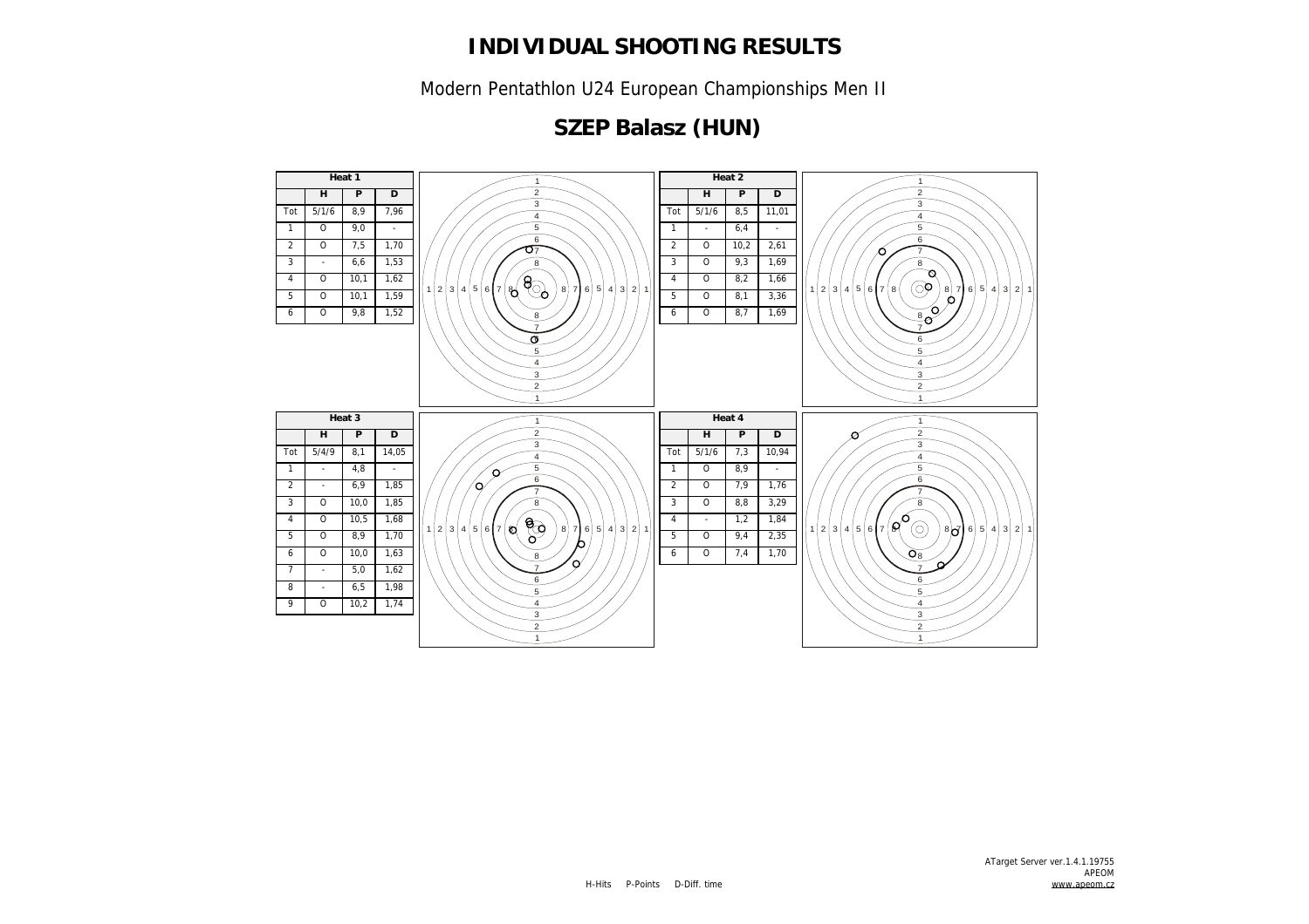Modern Pentathlon U24 European Championships Men II

# **SZEP Balasz (HUN)**

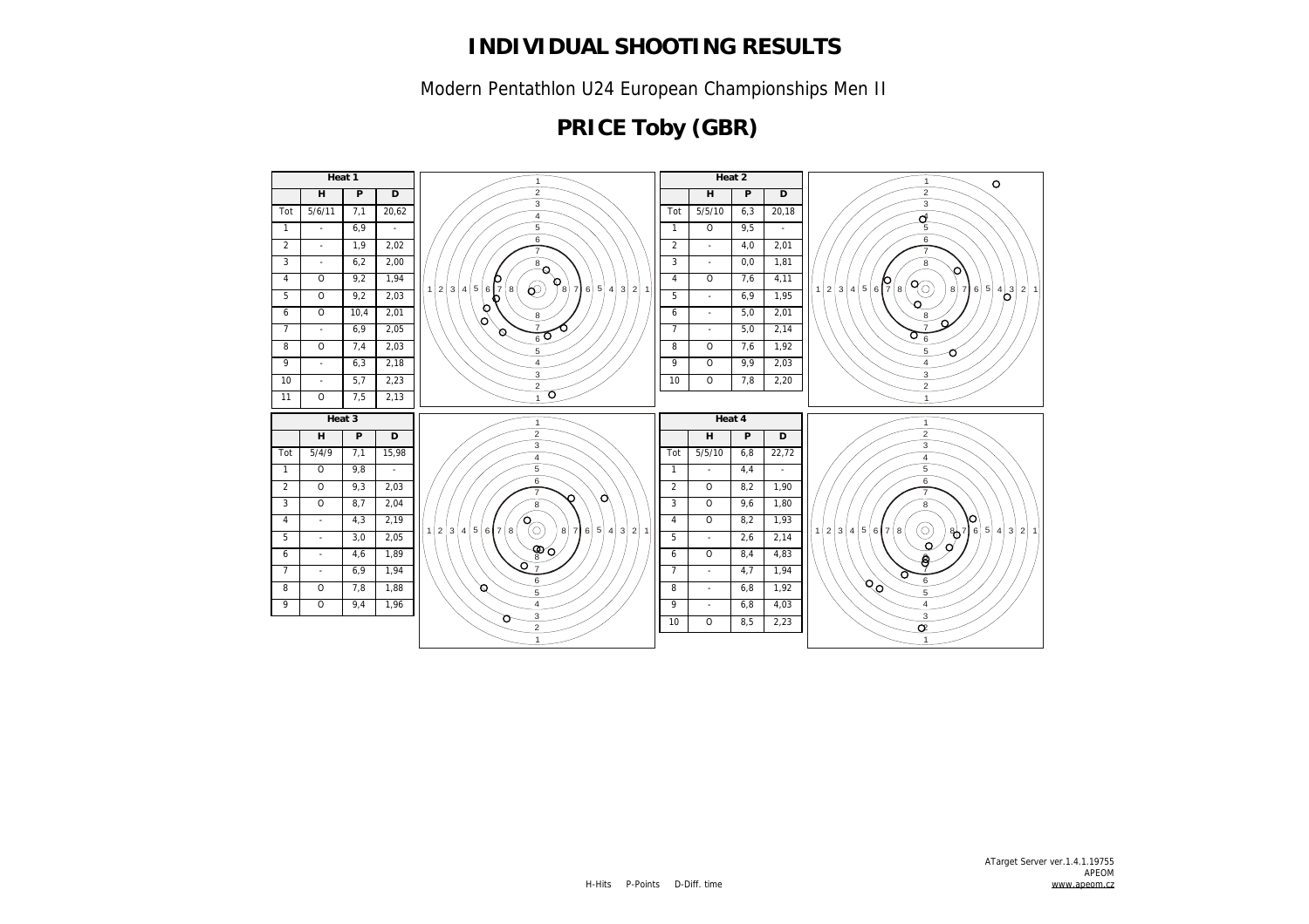Modern Pentathlon U24 European Championships Men II

# **PRICE Toby (GBR)**

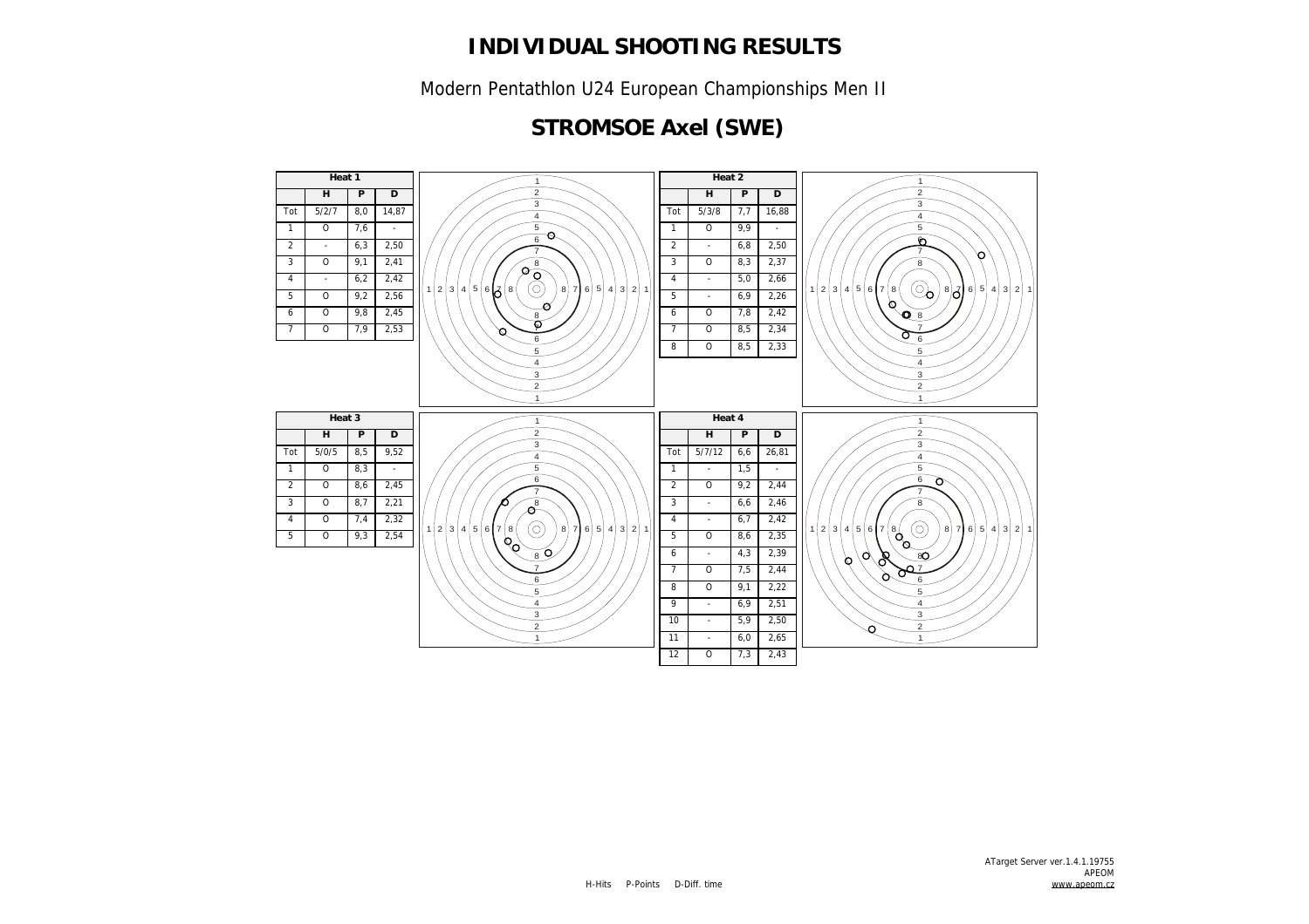Modern Pentathlon U24 European Championships Men II

### **STROMSOE Axel (SWE)**

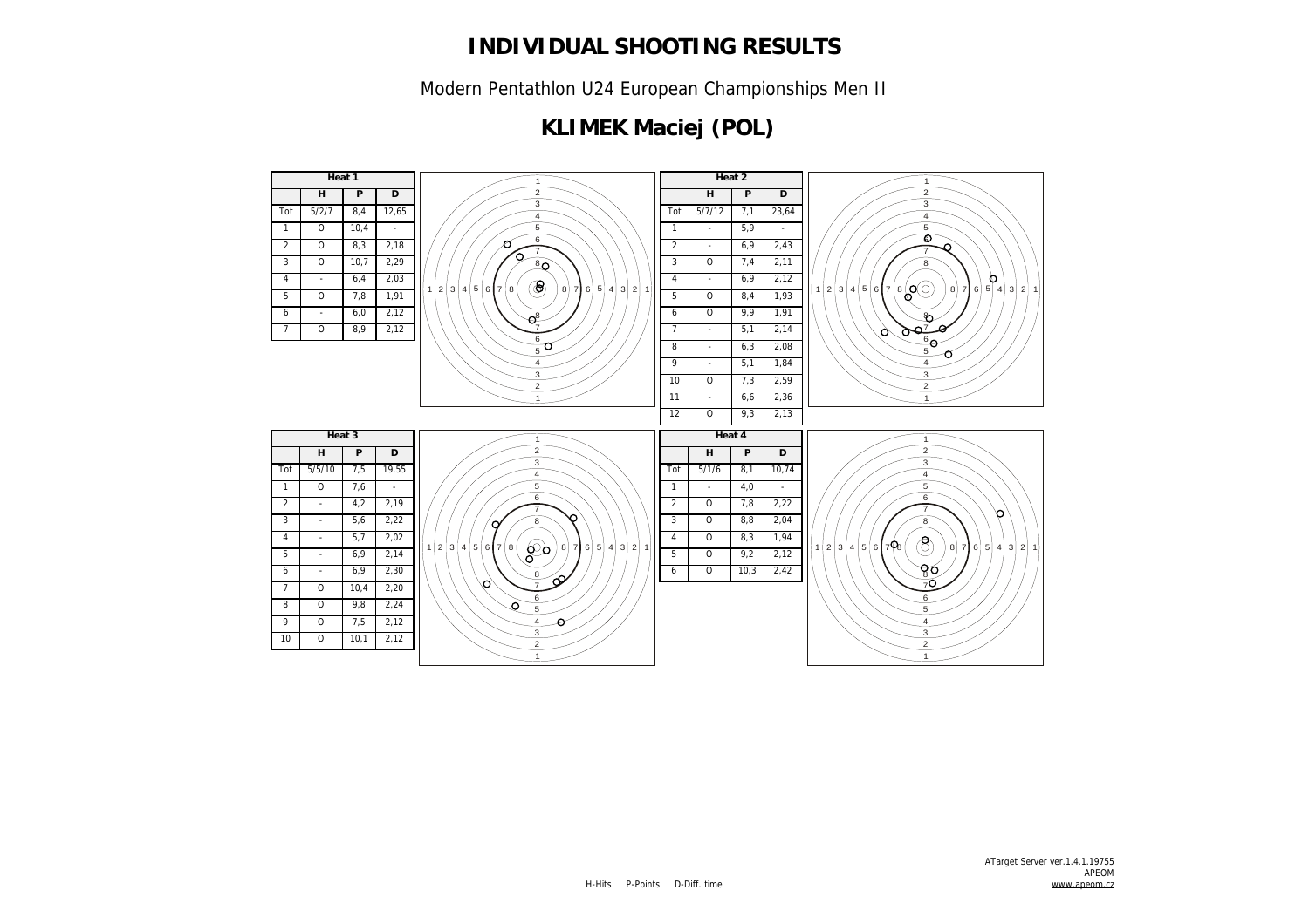Modern Pentathlon U24 European Championships Men II

## **KLIMEK Maciej (POL)**